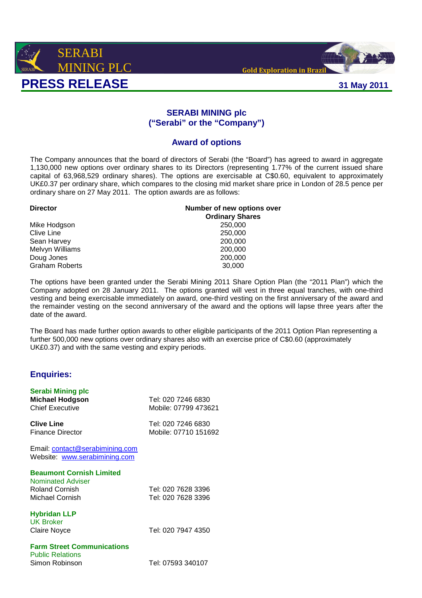



## **SERABI MINING plc ("Serabi" or the "Company")**

## **Award of options**

The Company announces that the board of directors of Serabi (the "Board") has agreed to award in aggregate 1,130,000 new options over ordinary shares to its Directors (representing 1.77% of the current issued share capital of 63,968,529 ordinary shares). The options are exercisable at C\$0.60, equivalent to approximately UK£0.37 per ordinary share, which compares to the closing mid market share price in London of 28.5 pence per ordinary share on 27 May 2011. The option awards are as follows:

| <b>Director</b>       | Number of new options over |
|-----------------------|----------------------------|
|                       | <b>Ordinary Shares</b>     |
| Mike Hodgson          | 250,000                    |
| Clive Line            | 250,000                    |
| Sean Harvey           | 200,000                    |
| Melvyn Williams       | 200,000                    |
| Doug Jones            | 200,000                    |
| <b>Graham Roberts</b> | 30,000                     |

The options have been granted under the Serabi Mining 2011 Share Option Plan (the "2011 Plan") which the Company adopted on 28 January 2011. The options granted will vest in three equal tranches, with one-third vesting and being exercisable immediately on award, one-third vesting on the first anniversary of the award and the remainder vesting on the second anniversary of the award and the options will lapse three years after the date of the award.

The Board has made further option awards to other eligible participants of the 2011 Option Plan representing a further 500,000 new options over ordinary shares also with an exercise price of C\$0,60 (approximately UK£0.37) and with the same vesting and expiry periods.

## **Enquiries:**

| Serabi Mining plc<br><b>Michael Hodgson</b><br><b>Chief Executive</b> | Tel: 020 7246 6830<br>Mobile: 07799 473621 |
|-----------------------------------------------------------------------|--------------------------------------------|
| <b>Clive Line</b><br><b>Finance Director</b>                          | Tel: 020 7246 6830<br>Mobile: 07710 151692 |
| Email: contact@serabimining.com<br>Website: www.serabimining.com      |                                            |
| <b>Beaumont Cornish Limited</b>                                       |                                            |
| Nominated Adviser                                                     |                                            |
| <b>Roland Cornish</b>                                                 | Tel: 020 7628 3396                         |
| Michael Cornish                                                       | Tel: 020 7628 3396                         |
| <b>Hybridan LLP</b>                                                   |                                            |
| <b>UK Broker</b>                                                      |                                            |
| Claire Noyce                                                          | Tel: 020 7947 4350                         |
| <b>Farm Street Communications</b>                                     |                                            |
| <b>Public Relations</b>                                               |                                            |
| Simon Robinson                                                        | Tel: 07593 340107                          |